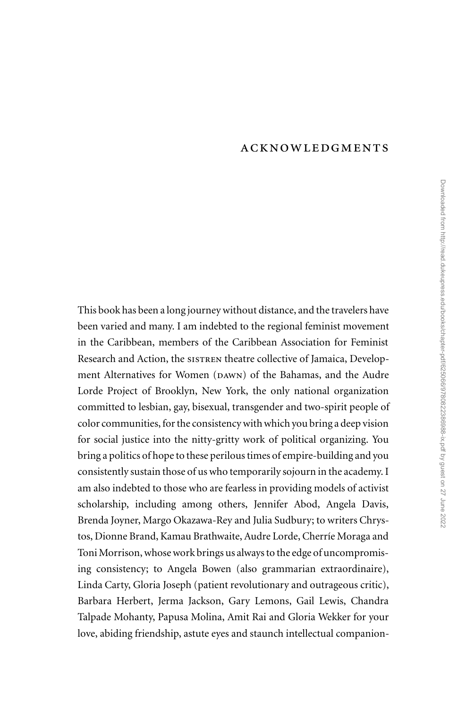## acknowledgments

This book has been a long journey without distance, and the travelers have been varied and many. I am indebted to the regional feminist movement in the Caribbean, members of the Caribbean Association for Feminist Research and Action, the sistren theatre collective of Jamaica, Development Alternatives for Women (DAWN) of the Bahamas, and the Audre Lorde Project of Brooklyn, New York, the only national organization committed to lesbian, gay, bisexual, transgender and two-spirit people of color communities, for the consistency with which you bring a deep vision for social justice into the nitty-gritty work of political organizing. You bring a politics of hope to these perilous times of empire-building and you consistently sustain those of us who temporarily sojourn in the academy. I am also indebted to those who are fearless in providing models of activist scholarship, including among others, Jennifer Abod, Angela Davis, Brenda Joyner, Margo Okazawa-Rey and Julia Sudbury; to writers Chrystos, Dionne Brand, Kamau Brathwaite, Audre Lorde, Cherríe Moraga and Toni Morrison, whose work brings us always to the edge of uncompromising consistency; to Angela Bowen (also grammarian extraordinaire), Linda Carty, Gloria Joseph (patient revolutionary and outrageous critic), Barbara Herbert, Jerma Jackson, Gary Lemons, Gail Lewis, Chandra Talpade Mohanty, Papusa Molina, Amit Rai and Gloria Wekker for your love, abiding friendship, astute eyes and staunch intellectual companion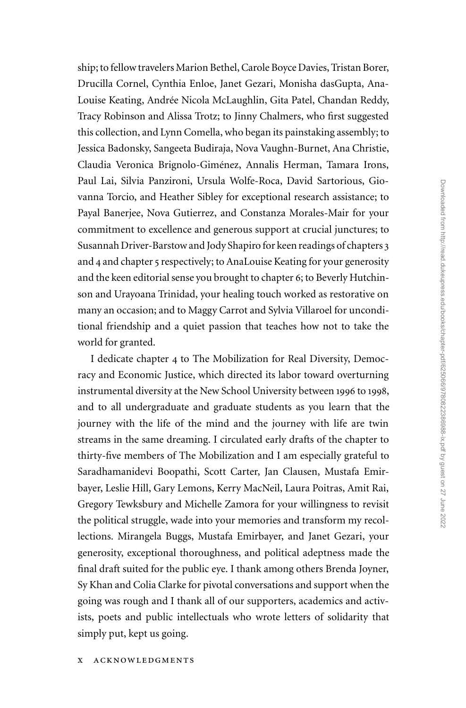ship; to fellow travelers Marion Bethel, Carole Boyce Davies, Tristan Borer, Drucilla Cornel, Cynthia Enloe, Janet Gezari, Monisha dasGupta, Ana-Louise Keating, Andrée Nicola McLaughlin, Gita Patel, Chandan Reddy, Tracy Robinson and Alissa Trotz; to Jinny Chalmers, who first suggested this collection, and Lynn Comella, who began its painstaking assembly; to Jessica Badonsky, Sangeeta Budiraja, Nova Vaughn-Burnet, Ana Christie, Claudia Veronica Brignolo-Giménez, Annalis Herman, Tamara Irons, Paul Lai, Silvia Panzironi, Ursula Wolfe-Roca, David Sartorious, Giovanna Torcio, and Heather Sibley for exceptional research assistance; to Payal Banerjee, Nova Gutierrez, and Constanza Morales-Mair for your commitment to excellence and generous support at crucial junctures; to Susannah Driver-Barstow and Jody Shapiro for keen readings of chapters 3 and 4 and chapter 5 respectively; to AnaLouise Keating for your generosity and the keen editorial sense you brought to chapter 6; to Beverly Hutchinson and Urayoana Trinidad, your healing touch worked as restorative on many an occasion; and to Maggy Carrot and Sylvia Villaroel for unconditional friendship and a quiet passion that teaches how not to take the world for granted.

I dedicate chapter 4 to The Mobilization for Real Diversity, Democracy and Economic Justice, which directed its labor toward overturning instrumental diversity at the New School University between 1996 to 1998, and to all undergraduate and graduate students as you learn that the journey with the life of the mind and the journey with life are twin streams in the same dreaming. I circulated early drafts of the chapter to thirty-five members of The Mobilization and I am especially grateful to Saradhamanidevi Boopathi, Scott Carter, Jan Clausen, Mustafa Emirbayer, Leslie Hill, Gary Lemons, Kerry MacNeil, Laura Poitras, Amit Rai, Gregory Tewksbury and Michelle Zamora for your willingness to revisit the political struggle, wade into your memories and transform my recollections. Mirangela Buggs, Mustafa Emirbayer, and Janet Gezari, your generosity, exceptional thoroughness, and political adeptness made the final draft suited for the public eye. I thank among others Brenda Joyner, Sy Khan and Colia Clarke for pivotal conversations and support when the going was rough and I thank all of our supporters, academics and activists, poets and public intellectuals who wrote letters of solidarity that simply put, kept us going.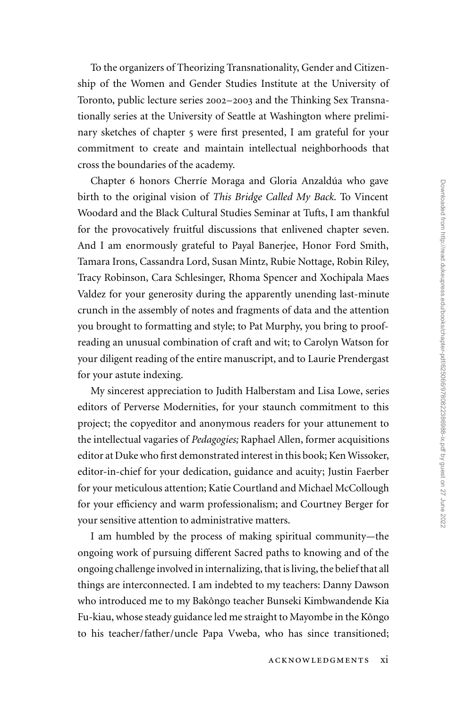To the organizers of Theorizing Transnationality, Gender and Citizenship of the Women and Gender Studies Institute at the University of Toronto, public lecture series 2002–2003 and the Thinking Sex Transnationally series at the University of Seattle at Washington where preliminary sketches of chapter 5 were first presented, I am grateful for your commitment to create and maintain intellectual neighborhoods that cross the boundaries of the academy.

Chapter 6 honors Cherríe Moraga and Gloria Anzaldúa who gave birth to the original vision of *This Bridge Called My Back*. To Vincent Woodard and the Black Cultural Studies Seminar at Tufts, I am thankful for the provocatively fruitful discussions that enlivened chapter seven. And I am enormously grateful to Payal Banerjee, Honor Ford Smith, Tamara Irons, Cassandra Lord, Susan Mintz, Rubie Nottage, Robin Riley, Tracy Robinson, Cara Schlesinger, Rhoma Spencer and Xochipala Maes Valdez for your generosity during the apparently unending last-minute crunch in the assembly of notes and fragments of data and the attention you brought to formatting and style; to Pat Murphy, you bring to proofreading an unusual combination of craft and wit; to Carolyn Watson for your diligent reading of the entire manuscript, and to Laurie Prendergast for your astute indexing.

My sincerest appreciation to Judith Halberstam and Lisa Lowe, series editors of Perverse Modernities, for your staunch commitment to this project; the copyeditor and anonymous readers for your attunement to the intellectual vagaries of *Pedagogies;* Raphael Allen, former acquisitions editor at Duke who first demonstrated interest in this book; Ken Wissoker, editor-in-chief for your dedication, guidance and acuity; Justin Faerber for your meticulous attention; Katie Courtland and Michael McCollough for your efficiency and warm professionalism; and Courtney Berger for your sensitive attention to administrative matters.

I am humbled by the process of making spiritual community—the ongoing work of pursuing different Sacred paths to knowing and of the ongoing challenge involved in internalizing, that is living, the belief that all things are interconnected. I am indebted to my teachers: Danny Dawson who introduced me to my Bakôngo teacher Bunseki Kimbwandende Kia Fu-kiau, whose steady guidance led me straight to Mayombe in the Kôngo to his teacher/father/uncle Papa Vweba, who has since transitioned;